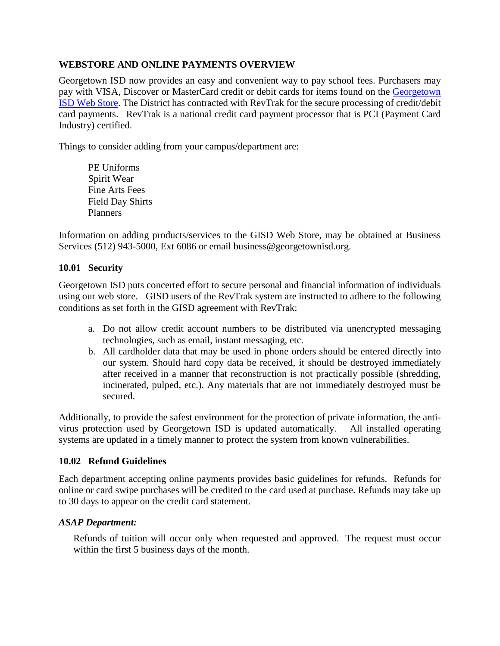# **WEBSTORE AND ONLINE PAYMENTS OVERVIEW**

Georgetown ISD now provides an easy and convenient way to pay school fees. Purchasers may pay with VISA, Discover or MasterCard credit or debit cards for items found on the Georgetown [ISD Web Store.](https://georgetownisd.revtrak.net/tek9.asp?) The District has contracted with RevTrak for the secure processing of credit/debit card payments. RevTrak is a national credit card payment processor that is PCI (Payment Card Industry) certified.

Things to consider adding from your campus/department are:

PE Uniforms Spirit Wear Fine Arts Fees Field Day Shirts Planners

Information on adding products/services to the GISD Web Store, may be obtained at Business Services (512) 943-5000, Ext 6086 or email business@georgetownisd.org.

# **10.01 Security**

Georgetown ISD puts concerted effort to secure personal and financial information of individuals using our web store. GISD users of the RevTrak system are instructed to adhere to the following conditions as set forth in the GISD agreement with RevTrak:

- a. Do not allow credit account numbers to be distributed via unencrypted messaging technologies, such as email, instant messaging, etc.
- b. All cardholder data that may be used in phone orders should be entered directly into our system. Should hard copy data be received, it should be destroyed immediately after received in a manner that reconstruction is not practically possible (shredding, incinerated, pulped, etc.). Any materials that are not immediately destroyed must be secured.

Additionally, to provide the safest environment for the protection of private information, the antivirus protection used by Georgetown ISD is updated automatically. All installed operating systems are updated in a timely manner to protect the system from known vulnerabilities.

## **10.02 Refund Guidelines**

Each department accepting online payments provides basic guidelines for refunds. Refunds for online or card swipe purchases will be credited to the card used at purchase. Refunds may take up to 30 days to appear on the credit card statement.

## *ASAP Department:*

Refunds of tuition will occur only when requested and approved. The request must occur within the first 5 business days of the month.